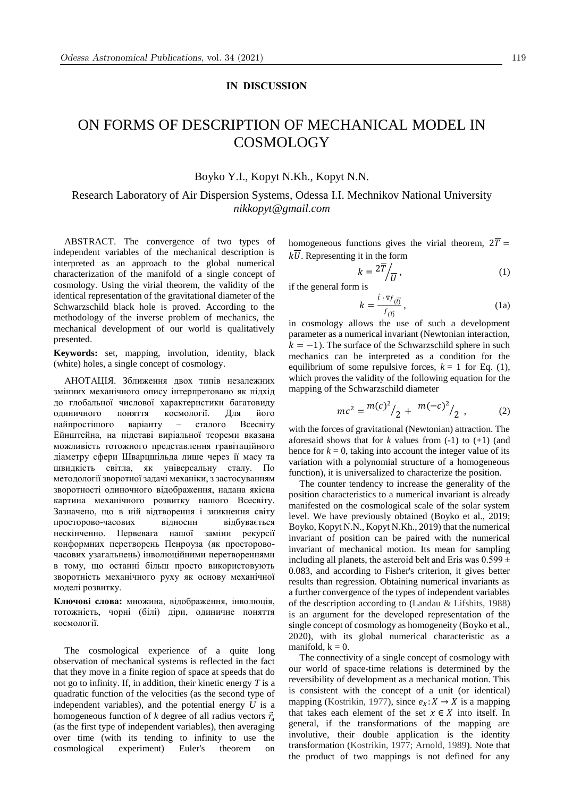## **IN DISCUSSION**

## ON FORMS OF DESCRIPTION OF MECHANICAL MODEL IN COSMOLOGY

## Boyko Y.I., Kopyt N.Kh., Kopyt N.N.

Research Laboratory of Air Dispersion Systems, Odessa I.I. Mechnikov National University *nikkopyt@gmail.com*

ABSTRACT. The convergence of two types of independent variables of the mechanical description is interpreted as an approach to the global numerical characterization of the manifold of a single concept of cosmology. Using the virial theorem, the validity of the identical representation of the gravitational diameter of the Schwarzschild black hole is proved. According to the methodology of the inverse problem of mechanics, the mechanical development of our world is qualitatively presented.

**Keywords:** set, mapping, involution, identity, black (white) holes, a single concept of cosmology.

АНОТАЦІЯ. Зближення двох типів незалежних змінних механічного опису інтерпретовано як підхід до глобальної числової характеристики багатовиду одиничного поняття космології. Для його найпростішого варіанту – сталого Всесвіту Ейнштейна, на підставі виріальної теореми вказана можливість тотожного представлення гравітаційного діаметру сфери Шварцшільда лише через її масу та швидкість світла, як універсальну сталу. По методології зворотної задачі механіки, з застосуванням зворотності одиночного відображення, надана якісна картина механічного розвитку нашого Всесвіту. Зазначено, що в ній відтворення і зникнення світу просторово-часових відносин відбувається нескінченно. Первевага нашої заміни рекурсії конформних перетворень Пенроуза (як просторовочасових узагальнень) інволюційними перетвореннями в тому, що останні більш просто використовують зворотність механічного руху як основу механічної моделі розвитку.

**Ключові слова:** множина, відображення, інволюція, тотожність, чорні (білі) діри, одиничне поняття космології.

The cosmological experience of a quite long observation of mechanical systems is reflected in the fact that they move in a finite region of space at speeds that do not go to infinity. If, in addition, their kinetic energy *T* is a quadratic function of the velocities (as the second type of independent variables), and the potential energy *U* is a homogeneous function of *k* degree of all radius vectors  $\vec{r}_a$ (as the first type of independent variables), then averaging over time (with its tending to infinity to use the cosmological experiment) Euler's theorem on homogeneous functions gives the virial theorem,  $2\overline{T}$  =  $k\overline{U}$ . Representing it in the form

$$
k = \frac{2\overline{T}}{U},\tag{1}
$$

if the general form is

$$
k = \frac{\vec{l} \cdot \nabla f_{(\vec{l})}}{f_{(\vec{l})}},\tag{1a}
$$

in cosmology allows the use of such a development parameter as a numerical invariant (Newtonian interaction,  $k = -1$ ). The surface of the Schwarzschild sphere in such mechanics can be interpreted as a condition for the equilibrium of some repulsive forces,  $k = 1$  for Eq. (1), which proves the validity of the following equation for the mapping of the Schwarzschild diameter

$$
mc^2 = \frac{m(c)^2}{2} + \frac{m(-c)^2}{2},
$$
 (2)

with the forces of gravitational (Newtonian) attraction. The aforesaid shows that for  $k$  values from  $(-1)$  to  $(+1)$  (and hence for  $k = 0$ , taking into account the integer value of its variation with a polynomial structure of a homogeneous function), it is universalized to characterize the position.

The counter tendency to increase the generality of the position characteristics to a numerical invariant is already manifested on the cosmological scale of the solar system level. We have previously obtained (Boyko et al., 2019; Boyko, Kopyt N.N., Kopyt N.Kh., 2019) that the numerical invariant of position can be paired with the numerical invariant of mechanical motion. Its mean for sampling including all planets, the asteroid belt and Eris was  $0.599 \pm$ 0.083, and according to Fisher's criterion, it gives better results than regression. Obtaining numerical invariants as a further convergence of the types of independent variables of the description according to (Landau & Lifshits, 1988) is an argument for the developed representation of the single concept of cosmology as homogeneity (Boyko et al., 2020), with its global numerical characteristic as a manifold,  $k = 0$ .

The connectivity of a single concept of cosmology with our world of space-time relations is determined by the reversibility of development as a mechanical motion. This is consistent with the concept of a unit (or identical) mapping (Kostrikin, 1977), since  $e_X: X \to X$  is a mapping that takes each element of the set  $x \in X$  into itself. In general, if the transformations of the mapping are involutive, their double application is the identity transformation (Kostrikin, 1977; Arnold, 1989). Note that the product of two mappings is not defined for any